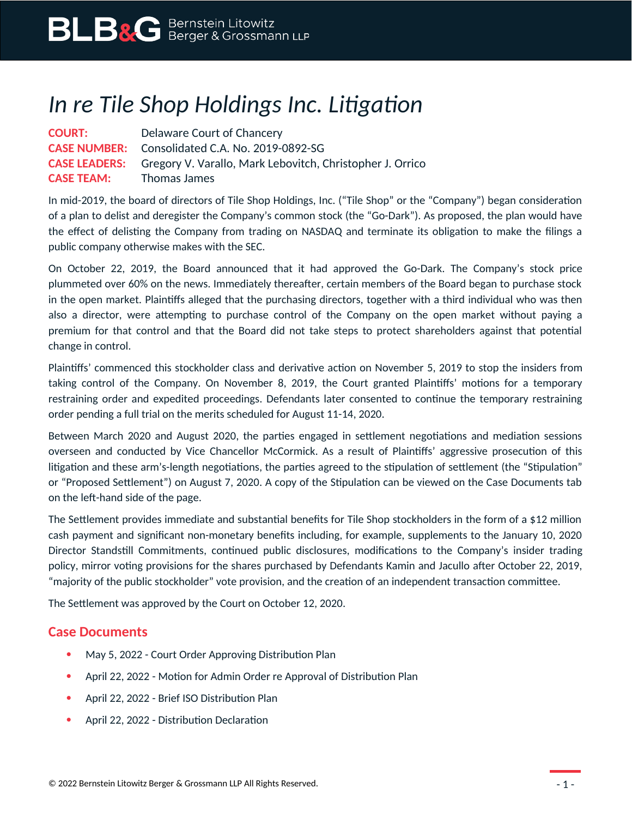## *In re Tile Shop Holdings Inc. Litigation*

**COURT:** Delaware Court of Chancery **CASE NUMBER:** Consolidated C.A. No. 2019-0892-SG **CASE LEADERS:** Gregory V. Varallo, Mark Lebovitch, Christopher J. Orrico **CASE TEAM:** Thomas James

In mid-2019, the board of directors of Tile Shop Holdings, Inc. ("Tile Shop" or the "Company") began consideration of a plan to delist and deregister the Company's common stock (the "Go-Dark"). As proposed, the plan would have the effect of delisting the Company from trading on NASDAQ and terminate its obligation to make the filings a public company otherwise makes with the SEC.

On October 22, 2019, the Board announced that it had approved the Go-Dark. The Company's stock price plummeted over 60% on the news. Immediately thereafter, certain members of the Board began to purchase stock in the open market. Plaintiffs alleged that the purchasing directors, together with a third individual who was then also a director, were attempting to purchase control of the Company on the open market without paying a premium for that control and that the Board did not take steps to protect shareholders against that potential change in control.

Plaintiffs' commenced this stockholder class and derivative action on November 5, 2019 to stop the insiders from taking control of the Company. On November 8, 2019, the Court granted Plaintiffs' motions for a temporary restraining order and expedited proceedings. Defendants later consented to continue the temporary restraining order pending a full trial on the merits scheduled for August 11-14, 2020.

Between March 2020 and August 2020, the parties engaged in settlement negotiations and mediation sessions overseen and conducted by Vice Chancellor McCormick. As a result of Plaintiffs' aggressive prosecution of this litigation and these arm's-length negotiations, the parties agreed to the stipulation of settlement (the "Stipulation" or "Proposed Settlement") on August 7, 2020. A copy of the Stipulation can be viewed on the Case Documents tab on the left-hand side of the page.

The Settlement provides immediate and substantial benefits for Tile Shop stockholders in the form of a \$12 million cash payment and significant non-monetary benefits including, for example, supplements to the January 10, 2020 Director Standstill Commitments, continued public disclosures, modifications to the Company's insider trading policy, mirror voting provisions for the shares purchased by Defendants Kamin and Jacullo after October 22, 2019, "majority of the public stockholder" vote provision, and the creation of an independent transaction committee.

The Settlement was approved by the Court on October 12, 2020.

## **Case Documents**

- May 5, 2022 Court Order Approving Distribution Plan
- April 22, 2022 Motion for Admin Order re Approval of Distribution Plan
- April 22, 2022 Brief ISO Distribution Plan
- April 22, 2022 Distribution Declaration